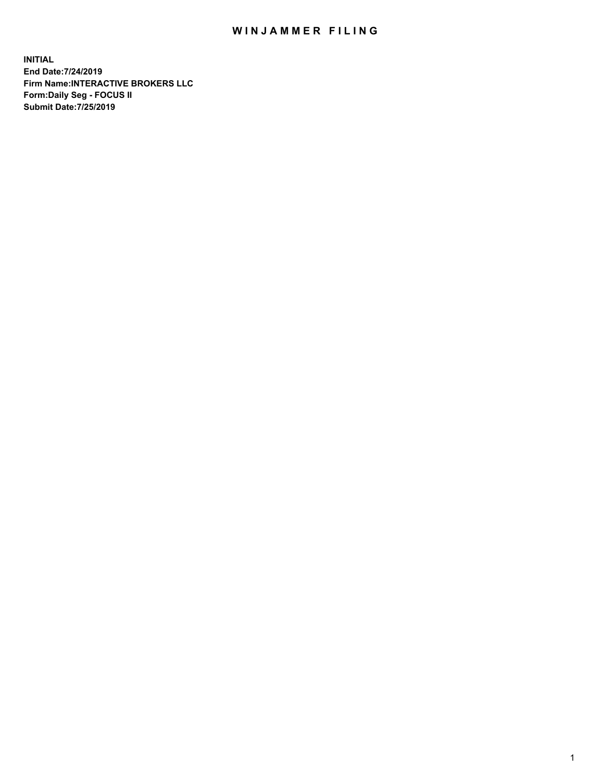## WIN JAMMER FILING

**INITIAL End Date:7/24/2019 Firm Name:INTERACTIVE BROKERS LLC Form:Daily Seg - FOCUS II Submit Date:7/25/2019**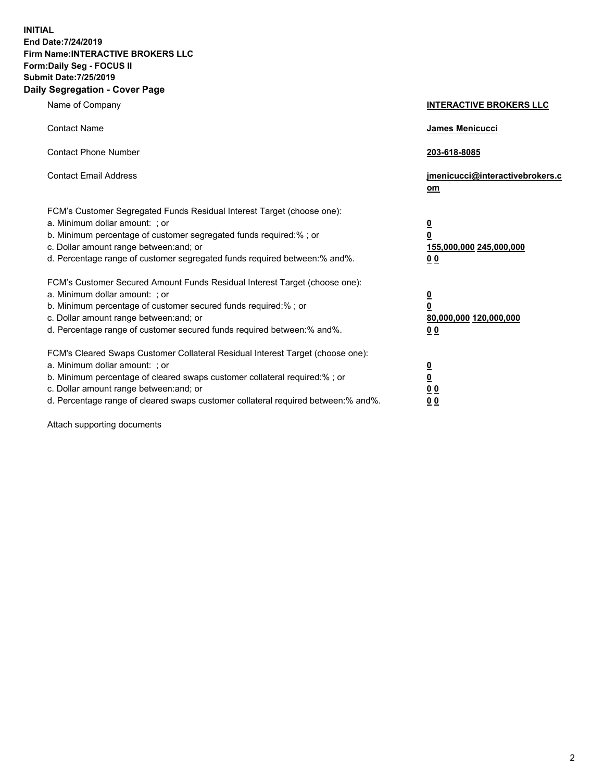**INITIAL End Date:7/24/2019 Firm Name:INTERACTIVE BROKERS LLC Form:Daily Seg - FOCUS II Submit Date:7/25/2019 Daily Segregation - Cover Page**

| Name of Company                                                                                                                                                                                                                                                                                                                | <b>INTERACTIVE BROKERS LLC</b>                                                                  |
|--------------------------------------------------------------------------------------------------------------------------------------------------------------------------------------------------------------------------------------------------------------------------------------------------------------------------------|-------------------------------------------------------------------------------------------------|
| <b>Contact Name</b>                                                                                                                                                                                                                                                                                                            | James Menicucci                                                                                 |
| <b>Contact Phone Number</b>                                                                                                                                                                                                                                                                                                    | 203-618-8085                                                                                    |
| <b>Contact Email Address</b>                                                                                                                                                                                                                                                                                                   | jmenicucci@interactivebrokers.c<br>om                                                           |
| FCM's Customer Segregated Funds Residual Interest Target (choose one):<br>a. Minimum dollar amount: ; or<br>b. Minimum percentage of customer segregated funds required:% ; or<br>c. Dollar amount range between: and; or<br>d. Percentage range of customer segregated funds required between:% and%.                         | $\overline{\mathbf{0}}$<br>$\overline{\mathbf{0}}$<br>155,000,000 245,000,000<br>0 <sub>0</sub> |
| FCM's Customer Secured Amount Funds Residual Interest Target (choose one):<br>a. Minimum dollar amount: : or<br>b. Minimum percentage of customer secured funds required:%; or<br>c. Dollar amount range between: and; or<br>d. Percentage range of customer secured funds required between:% and%.                            | $\frac{0}{0}$<br>80,000,000 120,000,000<br>0 <sub>0</sub>                                       |
| FCM's Cleared Swaps Customer Collateral Residual Interest Target (choose one):<br>a. Minimum dollar amount: ; or<br>b. Minimum percentage of cleared swaps customer collateral required:% ; or<br>c. Dollar amount range between: and; or<br>d. Percentage range of cleared swaps customer collateral required between:% and%. | $\frac{0}{0}$<br>0 <sub>0</sub><br>0 <sub>0</sub>                                               |

Attach supporting documents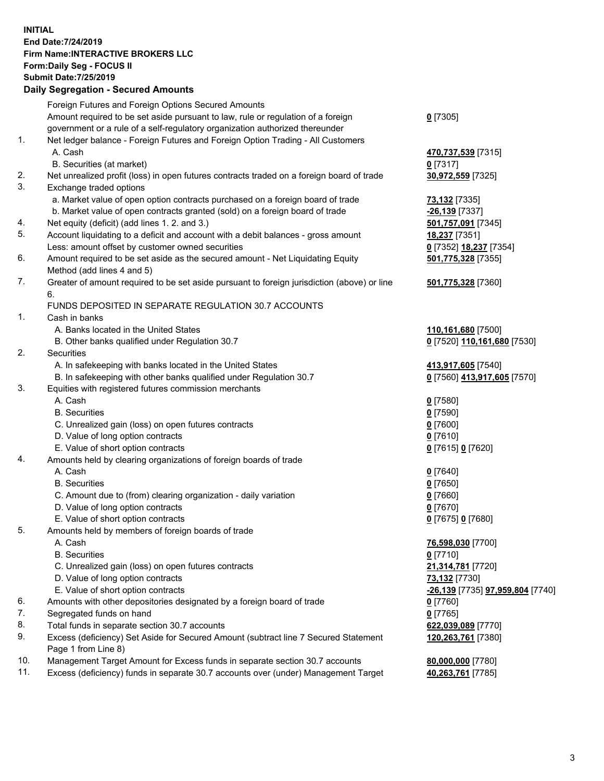## **INITIAL End Date:7/24/2019 Firm Name:INTERACTIVE BROKERS LLC Form:Daily Seg - FOCUS II Submit Date:7/25/2019 Daily Segregation - Secured Amounts**

|     | Daily Segregation - Secured Amounts                                                                                                  |                                                |
|-----|--------------------------------------------------------------------------------------------------------------------------------------|------------------------------------------------|
|     | Foreign Futures and Foreign Options Secured Amounts                                                                                  |                                                |
|     | Amount required to be set aside pursuant to law, rule or regulation of a foreign                                                     | $0$ [7305]                                     |
|     | government or a rule of a self-regulatory organization authorized thereunder                                                         |                                                |
| 1.  | Net ledger balance - Foreign Futures and Foreign Option Trading - All Customers                                                      |                                                |
|     | A. Cash                                                                                                                              | 470,737,539 [7315]                             |
|     | B. Securities (at market)                                                                                                            | $0$ [7317]                                     |
| 2.  | Net unrealized profit (loss) in open futures contracts traded on a foreign board of trade                                            | 30,972,559 [7325]                              |
| 3.  | Exchange traded options                                                                                                              |                                                |
|     | a. Market value of open option contracts purchased on a foreign board of trade                                                       | 73,132 [7335]                                  |
|     | b. Market value of open contracts granted (sold) on a foreign board of trade                                                         | -26,139 [7337]                                 |
| 4.  | Net equity (deficit) (add lines 1.2. and 3.)                                                                                         | 501,757,091 [7345]                             |
| 5.  | Account liquidating to a deficit and account with a debit balances - gross amount                                                    | 18,237 [7351]                                  |
|     | Less: amount offset by customer owned securities                                                                                     | 0 [7352] 18,237 [7354]                         |
| 6.  | Amount required to be set aside as the secured amount - Net Liquidating Equity                                                       | 501,775,328 [7355]                             |
|     | Method (add lines 4 and 5)                                                                                                           |                                                |
| 7.  | Greater of amount required to be set aside pursuant to foreign jurisdiction (above) or line                                          | 501,775,328 [7360]                             |
|     | 6.                                                                                                                                   |                                                |
|     | FUNDS DEPOSITED IN SEPARATE REGULATION 30.7 ACCOUNTS                                                                                 |                                                |
| 1.  | Cash in banks                                                                                                                        |                                                |
|     | A. Banks located in the United States                                                                                                | 110,161,680 [7500]                             |
|     | B. Other banks qualified under Regulation 30.7                                                                                       | 0 [7520] 110,161,680 [7530]                    |
| 2.  | Securities                                                                                                                           |                                                |
|     | A. In safekeeping with banks located in the United States                                                                            | 413,917,605 [7540]                             |
|     | B. In safekeeping with other banks qualified under Regulation 30.7                                                                   | 0 [7560] 413,917,605 [7570]                    |
| 3.  | Equities with registered futures commission merchants                                                                                |                                                |
|     | A. Cash                                                                                                                              | $0$ [7580]                                     |
|     | <b>B.</b> Securities                                                                                                                 | $0$ [7590]                                     |
|     | C. Unrealized gain (loss) on open futures contracts                                                                                  | $0$ [7600]                                     |
|     | D. Value of long option contracts                                                                                                    | $0$ [7610]                                     |
|     | E. Value of short option contracts                                                                                                   | 0 [7615] 0 [7620]                              |
| 4.  | Amounts held by clearing organizations of foreign boards of trade                                                                    |                                                |
|     | A. Cash                                                                                                                              | $0$ [7640]                                     |
|     | <b>B.</b> Securities                                                                                                                 | $0$ [7650]                                     |
|     | C. Amount due to (from) clearing organization - daily variation                                                                      | $0$ [7660]                                     |
|     | D. Value of long option contracts                                                                                                    | $0$ [7670]                                     |
|     | E. Value of short option contracts                                                                                                   | 0 [7675] 0 [7680]                              |
| 5.  | Amounts held by members of foreign boards of trade                                                                                   |                                                |
|     | A. Cash<br><b>B.</b> Securities                                                                                                      | 76,598,030 [7700]                              |
|     |                                                                                                                                      | $0$ [7710]                                     |
|     | C. Unrealized gain (loss) on open futures contracts                                                                                  | 21,314,781 [7720]                              |
|     | D. Value of long option contracts                                                                                                    | 73,132 [7730]                                  |
| 6.  | E. Value of short option contracts<br>Amounts with other depositories designated by a foreign board of trade                         | <u>-26,139</u> [7735] <b>97,959,804</b> [7740] |
| 7.  | Segregated funds on hand                                                                                                             | 0 [7760]                                       |
| 8.  |                                                                                                                                      | $0$ [7765]                                     |
| 9.  | Total funds in separate section 30.7 accounts<br>Excess (deficiency) Set Aside for Secured Amount (subtract line 7 Secured Statement | 622,039,089 [7770]<br>120,263,761 [7380]       |
|     | Page 1 from Line 8)                                                                                                                  |                                                |
| 10. | Management Target Amount for Excess funds in separate section 30.7 accounts                                                          | 80,000,000 [7780]                              |
| 11. | Excess (deficiency) funds in separate 30.7 accounts over (under) Management Target                                                   | 40,263,761 [7785]                              |
|     |                                                                                                                                      |                                                |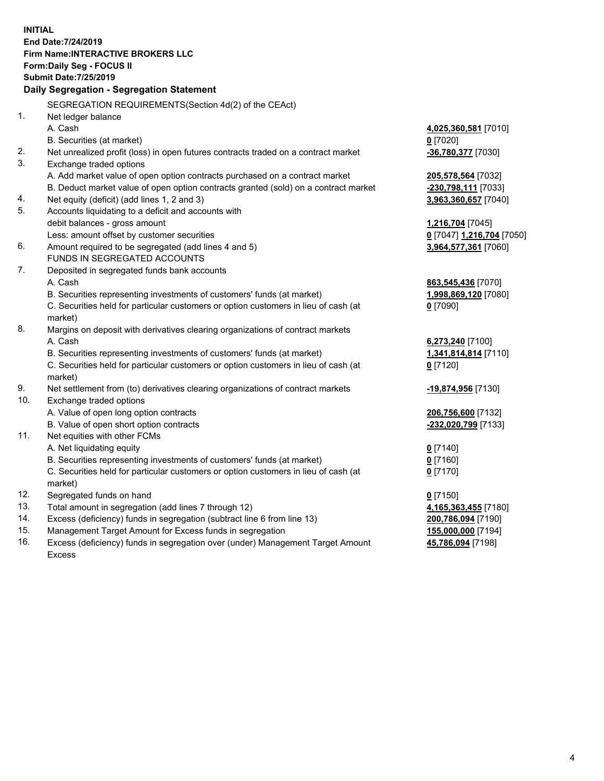**INITIAL End Date:7/24/2019 Firm Name:INTERACTIVE BROKERS LLC Form:Daily Seg - FOCUS II Submit Date:7/25/2019 Daily Segregation - Segregation Statement** SEGREGATION REQUIREMENTS(Section 4d(2) of the CEAct) 1. Net ledger balance A. Cash **4,025,360,581** [7010] B. Securities (at market) **0** [7020] 2. Net unrealized profit (loss) in open futures contracts traded on a contract market **-36,780,377** [7030] 3. Exchange traded options A. Add market value of open option contracts purchased on a contract market **205,578,564** [7032] B. Deduct market value of open option contracts granted (sold) on a contract market **-230,798,111** [7033] 4. Net equity (deficit) (add lines 1, 2 and 3) **3,963,360,657** [7040] 5. Accounts liquidating to a deficit and accounts with debit balances - gross amount **1,216,704** [7045] Less: amount offset by customer securities **0** [7047] **1,216,704** [7050] 6. Amount required to be segregated (add lines 4 and 5) **3,964,577,361** [7060] FUNDS IN SEGREGATED ACCOUNTS 7. Deposited in segregated funds bank accounts A. Cash **863,545,436** [7070] B. Securities representing investments of customers' funds (at market) **1,998,869,120** [7080] C. Securities held for particular customers or option customers in lieu of cash (at market) **0** [7090] 8. Margins on deposit with derivatives clearing organizations of contract markets A. Cash **6,273,240** [7100] B. Securities representing investments of customers' funds (at market) **1,341,814,814** [7110] C. Securities held for particular customers or option customers in lieu of cash (at market) **0** [7120] 9. Net settlement from (to) derivatives clearing organizations of contract markets **-19,874,956** [7130] 10. Exchange traded options A. Value of open long option contracts **206,756,600** [7132] B. Value of open short option contracts **-232,020,799** [7133] 11. Net equities with other FCMs A. Net liquidating equity **0** [7140] B. Securities representing investments of customers' funds (at market) **0** [7160] C. Securities held for particular customers or option customers in lieu of cash (at market) **0** [7170] 12. Segregated funds on hand **0** [7150] 13. Total amount in segregation (add lines 7 through 12) **4,165,363,455** [7180] 14. Excess (deficiency) funds in segregation (subtract line 6 from line 13) **200,786,094** [7190] 15. Management Target Amount for Excess funds in segregation **155,000,000** [7194] **45,786,094** [7198]

16. Excess (deficiency) funds in segregation over (under) Management Target Amount Excess